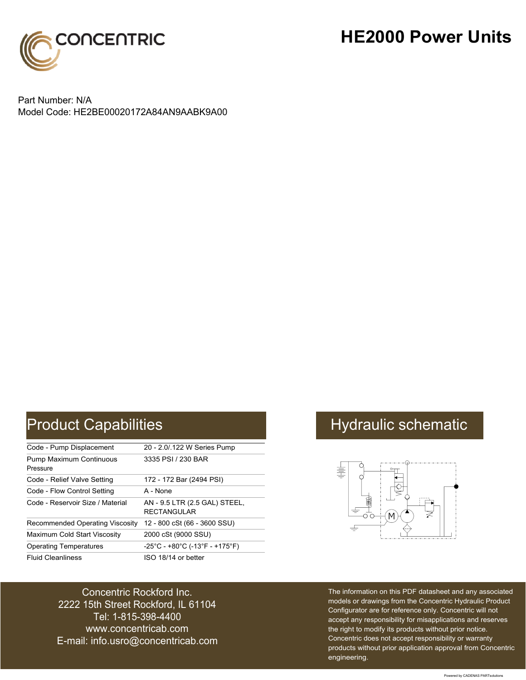

## **HE2000 Power Units**

Part Number: N/A Model Code: HE2BE00020172A84AN9AABK9A00

| Code - Pump Displacement                   | 20 - 2.0/.122 W Series Pump                                               |
|--------------------------------------------|---------------------------------------------------------------------------|
| <b>Pump Maximum Continuous</b><br>Pressure | 3335 PSI / 230 BAR                                                        |
| Code - Relief Valve Setting                | 172 - 172 Bar (2494 PSI)                                                  |
| Code - Flow Control Setting                | A - None                                                                  |
| Code - Reservoir Size / Material           | AN - 9.5 LTR (2.5 GAL) STEEL,<br><b>RECTANGULAR</b>                       |
| Recommended Operating Viscosity            | 12 - 800 cSt (66 - 3600 SSU)                                              |
| Maximum Cold Start Viscosity               | 2000 cSt (9000 SSU)                                                       |
| <b>Operating Temperatures</b>              | $-25^{\circ}$ C - +80 $^{\circ}$ C (-13 $^{\circ}$ F - +175 $^{\circ}$ F) |
| <b>Fluid Cleanliness</b>                   | ISO 18/14 or better                                                       |

### Concentric Rockford Inc. 2222 15th Street Rockford, IL 61104 Tel: 1-815-398-4400 [www.concentricab.com](www.concentrichydraulics.com) E-mail: [info.usro@concentrica](mailto://info.usro@concentricab.com)b.com

# Product Capabilities **Hydraulic schematic** Hydraulic schematic



The information on this PDF datasheet and any associated models or drawings from the Concentric Hydraulic Product Configurator are for reference only. Concentric will not accept any responsibility for misapplications and reserves the right to modify its products without prior notice. Concentric does not accept responsibility or warranty products without prior application approval from Concentric engineering.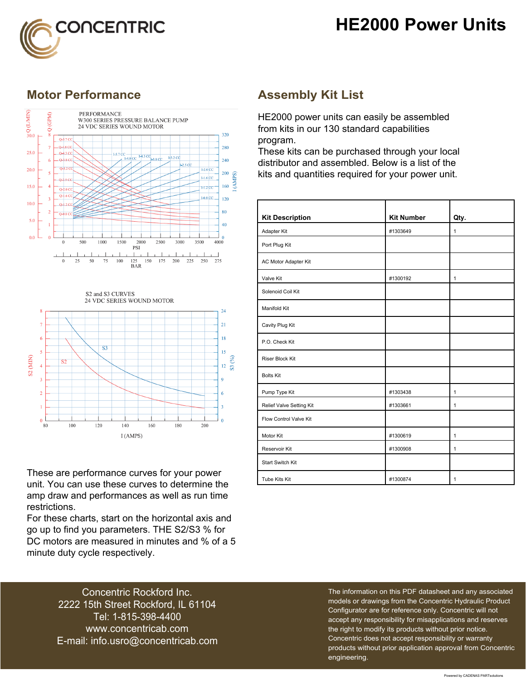



### **Motor Performance Assembly Kit List**





These are performance curves for your power unit. You can use these curves to determine the amp draw and performances as well as run time restrictions.

For these charts, start on the horizontal axis and go up to find you parameters. THE S2/S3 % for DC motors are measured in minutes and % of a 5 minute duty cycle respectively.

HE2000 power units can easily be assembled from kits in our 130 standard capabilities program.

These kits can be purchased through your local distributor and assembled. Below is a list of the kits and quantities required for your power unit.

| <b>Kit Description</b>   | <b>Kit Number</b> | Qty.         |
|--------------------------|-------------------|--------------|
| Adapter Kit              | #1303649          | $\mathbf{1}$ |
| Port Plug Kit            |                   |              |
| AC Motor Adapter Kit     |                   |              |
| Valve Kit                | #1300192          | $\mathbf{1}$ |
| Solenoid Coil Kit        |                   |              |
| Manifold Kit             |                   |              |
| Cavity Plug Kit          |                   |              |
| P.O. Check Kit           |                   |              |
| <b>Riser Block Kit</b>   |                   |              |
| <b>Bolts Kit</b>         |                   |              |
| Pump Type Kit            | #1303438          | $\mathbf{1}$ |
| Relief Valve Setting Kit | #1303661          | $\mathbf{1}$ |
| Flow Control Valve Kit   |                   |              |
| Motor Kit                | #1300619          | $\mathbf{1}$ |
| Reservoir Kit            | #1300908          | $\mathbf{1}$ |
| <b>Start Switch Kit</b>  |                   |              |
| Tube Kits Kit            | #1300874          | 1            |

Concentric Rockford Inc. 2222 15th Street Rockford, IL 61104 Tel: 1-815-398-4400 [www.concentricab.com](www.concentrichydraulics.com) E-mail: [info.usro@concentrica](mailto://info.usro@concentricab.com)b.com The information on this PDF datasheet and any associated models or drawings from the Concentric Hydraulic Product Configurator are for reference only. Concentric will not accept any responsibility for misapplications and reserves the right to modify its products without prior notice. Concentric does not accept responsibility or warranty products without prior application approval from Concentric engineering.